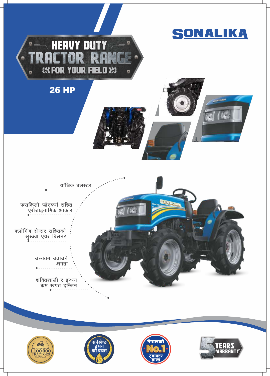